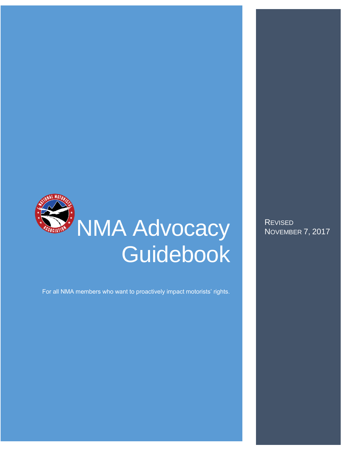

For all NMA members who want to proactively impact motorists' rights.

**REVISED** NOVEMBER 7, 2017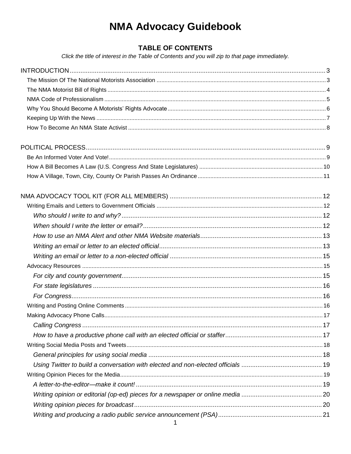# **NMA Advocacy Guidebook**

# **TABLE OF CONTENTS**

Click the title of interest in the Table of Contents and you will zip to that page immediately.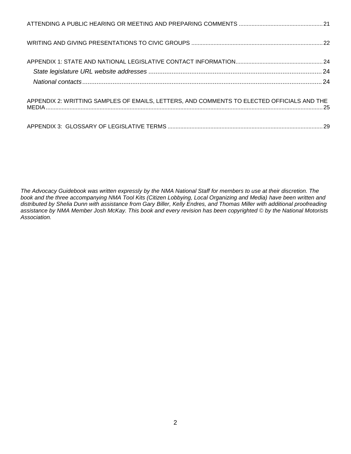| APPENDIX 2: WRITTING SAMPLES OF EMAILS, LETTERS, AND COMMENTS TO ELECTED OFFICIALS AND THE |  |
|--------------------------------------------------------------------------------------------|--|
|                                                                                            |  |

*The Advocacy Guidebook was written expressly by the NMA National Staff for members to use at their discretion. The book and the three accompanying NMA Tool Kits (Citizen Lobbying, Local Organizing and Media) have been written and distributed by Shelia Dunn with assistance from Gary Biller, Kelly Endres, and Thomas Miller with additional proofreading assistance by NMA Member Josh McKay. This book and every revision has been copyrighted © by the National Motorists Association.*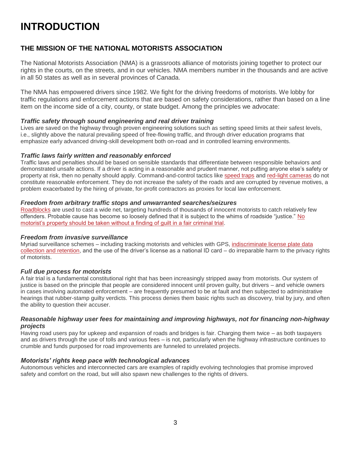# <span id="page-3-0"></span>**INTRODUCTION**

# <span id="page-3-1"></span>**THE MISSION OF THE NATIONAL MOTORISTS ASSOCIATION**

The National Motorists Association (NMA) is a grassroots alliance of motorists joining together to protect our rights in the courts, on the streets, and in our vehicles. NMA members number in the thousands and are active in all 50 states as well as in several provinces of Canada.

The NMA has empowered drivers since 1982. We fight for the driving freedoms of motorists. We lobby for traffic regulations and enforcement actions that are based on safety considerations, rather than based on a line item on the income side of a city, county, or state budget. Among the principles we advocate:

#### *Traffic safety through sound engineering and real driver training*

Lives are saved on the highway through proven engineering solutions such as setting speed limits at their safest levels, i.e., slightly above the natural prevailing speed of free-flowing traffic, and through driver education programs that emphasize early advanced driving-skill development both on-road and in controlled learning environments.

#### *Traffic laws fairly written and reasonably enforced*

Traffic laws and penalties should be based on sensible standards that differentiate between responsible behaviors and demonstrated unsafe actions. If a driver is acting in a reasonable and prudent manner, not putting anyone else's safety or property at risk, then no penalty should apply. Command-and-control tactics like [speed traps](https://www.motorists.org/issues/speed-traps/) and [red-light cameras](https://www.motorists.org/issues/red-light-cameras/) do not constitute reasonable enforcement. They do not increase the safety of the roads and are corrupted by revenue motives, a problem exacerbated by the hiring of private, for-profit contractors as proxies for local law enforcement.

#### *Freedom from arbitrary traffic stops and unwarranted searches/seizures*

[Roadblocks](https://www.motorists.org/issues/roadblocks/) are used to cast a wide net, targeting hundreds of thousands of innocent motorists to catch relatively few offenders. Probable cause has become so loosely defined that it is subject to the whims of roadside "justice." [No](https://www.motorists.org/blog/the-business-of-civil-forfeiture/)  [motorist's property should be taken without a finding of guilt in a fair criminal trial.](https://www.motorists.org/blog/the-business-of-civil-forfeiture/)

#### *Freedom from invasive surveillance*

Myriad surveillance schemes – including tracking motorists and vehicles with GPS, [indiscriminate license plate data](https://www.motorists.org/blog/stop-national-alpr-push-now/)  [collection and retention,](https://www.motorists.org/blog/stop-national-alpr-push-now/) and the use of the driver's license as a national ID card – do irreparable harm to the privacy rights of motorists.

#### *Full due process for motorists*

A fair trial is a fundamental constitutional right that has been increasingly stripped away from motorists. Our system of justice is based on the principle that people are considered innocent until proven guilty, but drivers – and vehicle owners in cases involving automated enforcement – are frequently presumed to be at fault and then subjected to administrative hearings that rubber-stamp guilty verdicts. This process denies them basic rights such as discovery, trial by jury, and often the ability to question their accuser.

#### *Reasonable highway user fees for maintaining and improving highways, not for financing non-highway projects*

Having road users pay for upkeep and expansion of roads and bridges is fair. Charging them twice – as both taxpayers and as drivers through the use of tolls and various fees – is not, particularly when the highway infrastructure continues to crumble and funds purposed for road improvements are funneled to unrelated projects.

#### *Motorists' rights keep pace with technological advances*

Autonomous vehicles and interconnected cars are examples of rapidly evolving technologies that promise improved safety and comfort on the road, but will also spawn new challenges to the rights of drivers.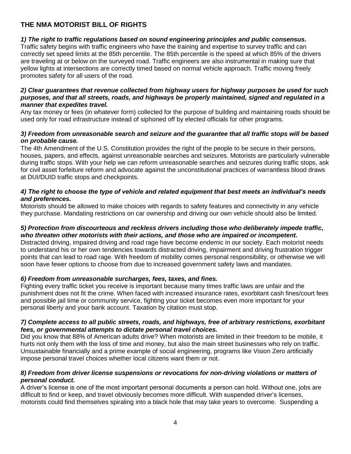# <span id="page-4-0"></span>**THE NMA MOTORIST BILL OF RIGHTS**

## *1) The right to traffic regulations based on sound engineering principles and public consensus.*

Traffic safety begins with traffic engineers who have the training and expertise to survey traffic and can correctly set speed limits at the 85th percentile. The 85th percentile is the speed at which 85% of the drivers are traveling at or below on the surveyed road. Traffic engineers are also instrumental in making sure that yellow lights at intersections are correctly timed based on normal vehicle approach. Traffic moving freely promotes safety for all users of the road.

#### *2) Clear guarantees that revenue collected from highway users for highway purposes be used for such purposes, and that all streets, roads, and highways be properly maintained, signed and regulated in a manner that expedites travel.*

Any tax money or fees (in whatever form) collected for the purpose of building and maintaining roads should be used only for road infrastructure instead of siphoned off by elected officials for other programs.

## *3) Freedom from unreasonable search and seizure and the guarantee that all traffic stops will be based on probable cause.*

The 4th Amendment of the U.S. Constitution provides the right of the people to be secure in their persons, houses, papers, and effects, against unreasonable searches and seizures. Motorists are particularly vulnerable during traffic stops. With your help we can reform unreasonable searches and seizures during traffic stops, ask for civil asset forfeiture reform and advocate against the unconstitutional practices of warrantless blood draws at DUI/DUID traffic stops and checkpoints.

## *4) The right to choose the type of vehicle and related equipment that best meets an individual's needs and preferences.*

Motorists should be allowed to make choices with regards to safety features and connectivity in any vehicle they purchase. Mandating restrictions on car ownership and driving our own vehicle should also be limited.

### *5) Protection from discourteous and reckless drivers including those who deliberately impede traffic, who threaten other motorists with their actions, and those who are impaired or incompetent.*

Distracted driving, impaired driving and road rage have become endemic in our society. Each motorist needs to understand his or her own tendencies towards distracted driving, impairment and driving frustration trigger points that can lead to road rage. With freedom of mobility comes personal responsibility, or otherwise we will soon have fewer options to choose from due to increased government safety laws and mandates.

## *6) Freedom from unreasonable surcharges, fees, taxes, and fines.*

Fighting every traffic ticket you receive is important because many times traffic laws are unfair and the punishment does not fit the crime. When faced with increased insurance rates, exorbitant cash fines/court fees and possible jail time or community service, fighting your ticket becomes even more important for your personal liberty and your bank account. Taxation by citation must stop.

#### *7) Complete access to all public streets, roads, and highways, free of arbitrary restrictions, exorbitant fees, or governmental attempts to dictate personal travel choices.*

Did you know that 88% of American adults drive? When motorists are limited in their freedom to be mobile, it hurts not only them with the loss of time and money, but also the main street businesses who rely on traffic. Unsustainable financially and a prime example of social engineering, programs like Vision Zero artificially impose personal travel choices whether local citizens want them or not.

## *8) Freedom from driver license suspensions or revocations for non-driving violations or matters of personal conduct.*

A driver's license is one of the most important personal documents a person can hold. Without one, jobs are difficult to find or keep, and travel obviously becomes more difficult. With suspended driver's licenses, motorists could find themselves spiraling into a black hole that may take years to overcome. Suspending a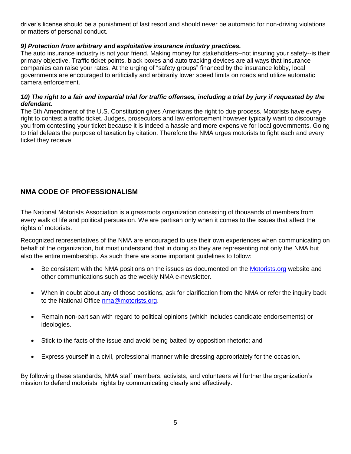driver's license should be a punishment of last resort and should never be automatic for non-driving violations or matters of personal conduct.

## *9) Protection from arbitrary and exploitative insurance industry practices.*

The auto insurance industry is not your friend. Making money for stakeholders--not insuring your safety--is their primary objective. Traffic ticket points, black boxes and auto tracking devices are all ways that insurance companies can raise your rates. At the urging of "safety groups" financed by the insurance lobby, local governments are encouraged to artificially and arbitrarily lower speed limits on roads and utilize automatic camera enforcement.

### 10) The right to a fair and impartial trial for traffic offenses, including a trial by jury if requested by the *defendant.*

The 5th Amendment of the U.S. Constitution gives Americans the right to due process. Motorists have every right to contest a traffic ticket. Judges, prosecutors and law enforcement however typically want to discourage you from contesting your ticket because it is indeed a hassle and more expensive for local governments. Going to trial defeats the purpose of taxation by citation. Therefore the NMA urges motorists to fight each and every ticket they receive!

# <span id="page-5-0"></span>**NMA CODE OF PROFESSIONALISM**

The National Motorists Association is a grassroots organization consisting of thousands of members from every walk of life and political persuasion. We are partisan only when it comes to the issues that affect the rights of motorists.

Recognized representatives of the NMA are encouraged to use their own experiences when communicating on behalf of the organization, but must understand that in doing so they are representing not only the NMA but also the entire membership. As such there are some important guidelines to follow:

- Be consistent with the NMA positions on the issues as documented on the [Motorists.org](http://www.motorists.org/) website and other communications such as the weekly NMA e-newsletter.
- When in doubt about any of those positions, ask for clarification from the NMA or refer the inquiry back to the National Office [nma@motorists.org.](mailto:nma@motorists.org)
- Remain non-partisan with regard to political opinions (which includes candidate endorsements) or ideologies.
- Stick to the facts of the issue and avoid being baited by opposition rhetoric; and
- Express yourself in a civil, professional manner while dressing appropriately for the occasion.

By following these standards, NMA staff members, activists, and volunteers will further the organization's mission to defend motorists' rights by communicating clearly and effectively.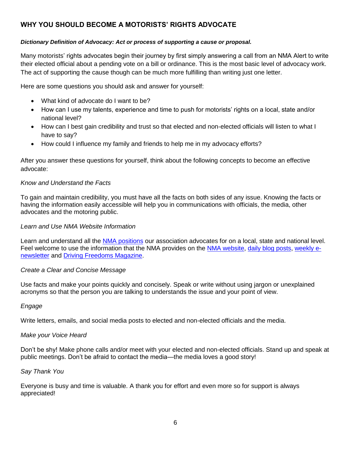# <span id="page-6-0"></span>**WHY YOU SHOULD BECOME A MOTORISTS' RIGHTS ADVOCATE**

## *Dictionary Definition of Advocacy: Act or process of supporting a cause or proposal.*

Many motorists' rights advocates begin their journey by first simply answering a call from an NMA Alert to write their elected official about a pending vote on a bill or ordinance. This is the most basic level of advocacy work. The act of supporting the cause though can be much more fulfilling than writing just one letter.

Here are some questions you should ask and answer for yourself:

- What kind of advocate do I want to be?
- How can I use my talents, experience and time to push for motorists' rights on a local, state and/or national level?
- How can I best gain credibility and trust so that elected and non-elected officials will listen to what I have to say?
- How could I influence my family and friends to help me in my advocacy efforts?

After you answer these questions for yourself, think about the following concepts to become an effective advocate:

#### *Know and Understand the Facts*

To gain and maintain credibility, you must have all the facts on both sides of any issue. Knowing the facts or having the information easily accessible will help you in communications with officials, the media, other advocates and the motoring public.

#### *Learn and Use NMA Website Information*

Learn and understand all the [NMA positions](https://www.motorists.org/issues/) our association advocates for on a local, state and national level. Feel welcome to use the information that the NMA provides on the [NMA website,](http://www.motorists.org/) [daily blog posts,](https://www.motorists.org/blog/) [weekly e](https://www.motorists.org/alert-tag/emailnewsletter/)[newsletter](https://www.motorists.org/alert-tag/emailnewsletter/) and [Driving Freedoms Magazine.](https://www.motorists.org/newsletter/)

#### *Create a Clear and Concise Message*

Use facts and make your points quickly and concisely. Speak or write without using jargon or unexplained acronyms so that the person you are talking to understands the issue and your point of view.

#### *Engage*

Write letters, emails, and social media posts to elected and non-elected officials and the media.

#### *Make your Voice Heard*

Don't be shy! Make phone calls and/or meet with your elected and non-elected officials. Stand up and speak at public meetings. Don't be afraid to contact the media—the media loves a good story!

#### *Say Thank You*

Everyone is busy and time is valuable. A thank you for effort and even more so for support is always appreciated!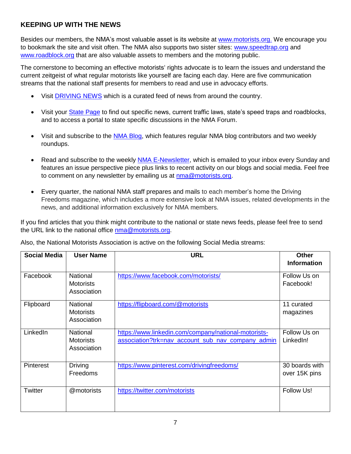# <span id="page-7-0"></span>**KEEPING UP WITH THE NEWS**

Besides our members, the NMA's most valuable asset is its website at [www.motorists.org.](http://www.motorists.org/) We encourage you to bookmark the site and visit often. The NMA also supports two sister sites: [www.speedtrap.org](http://www.speedtrap.org/) and [www.roadblock.org](http://www.roadblock.org/) that are also valuable assets to members and the motoring public.

The cornerstone to becoming an effective motorists' rights advocate is to learn the issues and understand the current zeitgeist of what regular motorists like yourself are facing each day. Here are five communication streams that the national staff presents for members to read and use in advocacy efforts.

- Visit [DRIVING NEWS](https://www.motorists.org/news/) which is a curated feed of news from around the country.
- Visit your [State Page](https://www.motorists.org/chapters/) to find out specific news, current traffic laws, state's speed traps and roadblocks, and to access a portal to state specific discussions in the NMA Forum.
- Visit and subscribe to the [NMA Blog,](https://www.motorists.org/blog/) which features regular NMA blog contributors and two weekly roundups.
- Read and subscribe to the weekly [NMA E-Newsletter,](https://www.motorists.org/nma-e-newsletter-signup/) which is emailed to your inbox every Sunday and features an issue perspective piece plus links to recent activity on our blogs and social media. Feel free to comment on any newsletter by emailing us at [nma@motorists.org.](mailto:nma@motorists.org)
- Every quarter, the national NMA staff prepares and mails to each member's home the Driving Freedoms magazine, which includes a more extensive look at NMA issues, related developments in the news, and additional information exclusively for NMA members.

If you find articles that you think might contribute to the national or state news feeds, please feel free to send the URL link to the national office [nma@motorists.org.](mailto:nma@motorists.org)

| <b>Social Media</b> | <b>User Name</b>                                   | <b>URL</b>                                                                                                | <b>Other</b><br><b>Information</b> |
|---------------------|----------------------------------------------------|-----------------------------------------------------------------------------------------------------------|------------------------------------|
| Facebook            | National<br><b>Motorists</b><br>Association        | https://www.facebook.com/motorists/                                                                       | Follow Us on<br>Facebook!          |
| Flipboard           | National<br><b>Motorists</b><br>Association        | https://flipboard.com/@motorists                                                                          | 11 curated<br>magazines            |
| <b>LinkedIn</b>     | <b>National</b><br><b>Motorists</b><br>Association | https://www.linkedin.com/company/national-motorists-<br>association?trk=nav_account_sub_nav_company_admin | Follow Us on<br>LinkedIn!          |
| <b>Pinterest</b>    | <b>Driving</b><br><b>Freedoms</b>                  | https://www.pinterest.com/drivingfreedoms/                                                                | 30 boards with<br>over 15K pins    |
| Twitter             | @motorists                                         | https://twitter.com/motorists                                                                             | Follow Us!                         |

Also, the National Motorists Association is active on the following Social Media streams: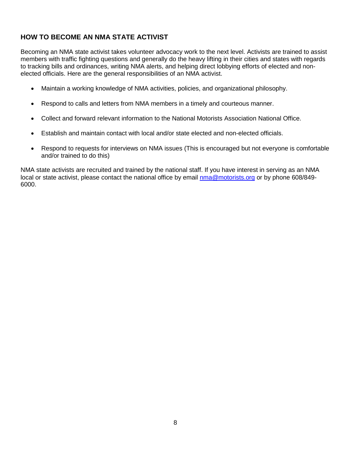# <span id="page-8-0"></span>**HOW TO BECOME AN NMA STATE ACTIVIST**

Becoming an NMA state activist takes volunteer advocacy work to the next level. Activists are trained to assist members with traffic fighting questions and generally do the heavy lifting in their cities and states with regards to tracking bills and ordinances, writing NMA alerts, and helping direct lobbying efforts of elected and nonelected officials. Here are the general responsibilities of an NMA activist.

- Maintain a working knowledge of NMA activities, policies, and organizational philosophy.
- Respond to calls and letters from NMA members in a timely and courteous manner.
- Collect and forward relevant information to the National Motorists Association National Office.
- Establish and maintain contact with local and/or state elected and non-elected officials.
- Respond to requests for interviews on NMA issues (This is encouraged but not everyone is comfortable and/or trained to do this)

NMA state activists are recruited and trained by the national staff. If you have interest in serving as an NMA local or state activist, please contact the national office by email [nma@motorists.org](mailto:nma@motorists.org) or by phone 608/849-6000.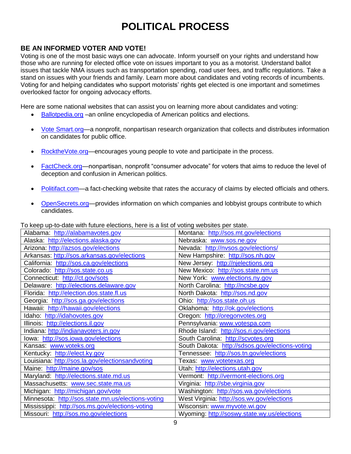# **POLITICAL PROCESS**

## <span id="page-9-1"></span><span id="page-9-0"></span>**BE AN INFORMED VOTER AND VOTE!**

Voting is one of the most basic ways one can advocate. Inform yourself on your rights and understand how those who are running for elected office vote on issues important to you as a motorist. Understand ballot issues that tackle NMA issues such as transportation spending, road user fees, and traffic regulations. Take a stand on issues with your friends and family. Learn more about candidates and voting records of incumbents. Voting for and helping candidates who support motorists' rights get elected is one important and sometimes overlooked factor for ongoing advocacy efforts.

Here are some national websites that can assist you on learning more about candidates and voting:

- [Ballotpedia.](https://ballotpedia.org/Main_Page)org –an online encyclopedia of American politics and elections.
- [Vote Smart.](http://votesmart.org/)org—a nonprofit, nonpartisan research organization that collects and distributes information on candidates for public office.
- [RocktheVote.org—](https://www.rockthevote.org/)encourages young people to vote and participate in the process.
- [FactCheck.org—](http://factcheck.org/)nonpartisan, nonprofit "consumer advocate" for voters that aims to reduce the level of deception and confusion in American politics.
- [Politifact.com—](http://www.politifact.com/)a fact-checking website that rates the accuracy of claims by elected officials and others.
- [OpenSecrets.org—](http://www.opensecrets.org/)provides information on which companies and lobbyist groups contribute to which candidates.

To keep up-to-date with future elections, here is a list of voting websites per state.

| Alabama: http://alabamavotes.gov                   | Montana: http://sos.mt.gov/elections            |
|----------------------------------------------------|-------------------------------------------------|
| Alaska: http://elections.alaska.gov                | Nebraska: www.sos.ne.gov                        |
| Arizona: http://azsos.gov/elections                | Nevada: http://nvsos.gov/elections/             |
| Arkansas: http://sos.arkansas.gov/elections        | New Hampshire: http://sos.nh.gov                |
| California: http://sos.ca.gov/elections            | New Jersey: http://njelections.org              |
| Colorado: http://sos.state.co.us                   | New Mexico: http://sos.state.nm.us              |
| Connecticut: http://ct.gov/sots                    | New York: www.elections.ny.gov                  |
| Delaware: http://elections.delaware.gov            | North Carolina: http://ncsbe.gov                |
| Florida: http://election.dos.state.fl.us           | North Dakota: http://sos.nd.gov                 |
| Georgia: http://sos.ga.gov/elections               | Ohio: http://sos.state.oh.us                    |
| Hawaii: http://hawaii.gov/elections                | Oklahoma: http://ok.gov/elections               |
| Idaho: http://idahovotes.gov                       | Oregon: http://oregonvotes.org                  |
| Illinois: http://elections.il.gov                  | Pennsylvania: www.votespa.com                   |
| Indiana: http://indianavoters.in.gov               | Rhode Island: http://sos.ri.gov/elections       |
| lowa: http://sos.iowa.gov/elections                | South Carolina: http://scvotes.org              |
| Kansas: www.voteks.org                             | South Dakota: http://sdsos.gov/elections-voting |
| Kentucky: http://elect.ky.gov                      | Tennessee: http://sos.tn.gov/elections          |
| Louisiana: http://sos.la.gov/electionsandvoting    | Texas: www.votetexas.org                        |
| Maine: http://maine.gov/sos                        | Utah: http://elections.utah.gov                 |
| Maryland: http://elections.state.md.us             | Vermont: http://vermont-elections.org           |
| Massachusetts: www.sec.state.ma.us                 | Virginia: http://sbe.virginia.gov               |
| Michigan: http://michigan.gov/vote                 | Washington: http://sos.wa.gov/elections         |
| Minnesota: http://sos.state.mn.us/elections-voting | West Virginia: http://sos.wv.gov/elections      |
| Mississippi: http://sos.ms.gov/elections-voting    | Wisconsin: www.myvote.wi.gov                    |
| Missouri: http://sos.mo.gov/elections              | Wyoming: http://soswy.state.wy.us/elections     |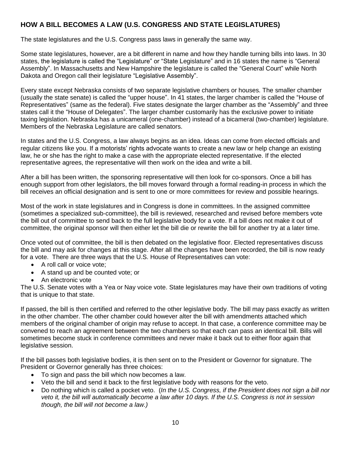# <span id="page-10-0"></span>**HOW A BILL BECOMES A LAW (U.S. CONGRESS AND STATE LEGISLATURES)**

The state legislatures and the U.S. Congress pass laws in generally the same way.

Some state legislatures, however, are a bit different in name and how they handle turning bills into laws. In 30 states, the legislature is called the "Legislature" or "State Legislature" and in 16 states the name is "General Assembly". In Massachusetts and New Hampshire the legislature is called the "General Court" while North Dakota and Oregon call their legislature "Legislative Assembly".

Every state except Nebraska consists of two separate legislative chambers or houses. The smaller chamber (usually the state senate) is called the "upper house". In 41 states, the larger chamber is called the "House of Representatives" (same as the federal). Five states designate the larger chamber as the "Assembly" and three states call it the "House of Delegates". The larger chamber customarily has the exclusive power to initiate taxing legislation. Nebraska has a unicameral (one-chamber) instead of a bicameral (two-chamber) legislature. Members of the Nebraska Legislature are called senators.

In states and the U.S. Congress, a law always begins as an idea. Ideas can come from elected officials and regular citizens like you. If a motorists' rights advocate wants to create a new law or help change an existing law, he or she has the right to make a case with the appropriate elected representative. If the elected representative agrees, the representative will then work on the idea and write a bill.

After a bill has been written, the sponsoring representative will then look for co-sponsors. Once a bill has enough support from other legislators, the bill moves forward through a formal reading-in process in which the bill receives an official designation and is sent to one or more committees for review and possible hearings.

Most of the work in state legislatures and in Congress is done in committees. In the assigned committee (sometimes a specialized sub-committee), the bill is reviewed, researched and revised before members vote the bill out of committee to send back to the full legislative body for a vote. If a bill does not make it out of committee, the original sponsor will then either let the bill die or rewrite the bill for another try at a later time.

Once voted out of committee, the bill is then debated on the legislative floor. Elected representatives discuss the bill and may ask for changes at this stage. After all the changes have been recorded, the bill is now ready for a vote. There are three ways that the U.S. House of Representatives can vote:

- A roll call or voice vote;
- A stand up and be counted vote; or
- An electronic vote

The U.S. Senate votes with a Yea or Nay voice vote. State legislatures may have their own traditions of voting that is unique to that state.

If passed, the bill is then certified and referred to the other legislative body. The bill may pass exactly as written in the other chamber. The other chamber could however alter the bill with amendments attached which members of the original chamber of origin may refuse to accept. In that case, a conference committee may be convened to reach an agreement between the two chambers so that each can pass an identical bill. Bills will sometimes become stuck in conference committees and never make it back out to either floor again that legislative session.

If the bill passes both legislative bodies, it is then sent on to the President or Governor for signature. The President or Governor generally has three choices:

- To sign and pass the bill which now becomes a law.
- Veto the bill and send it back to the first legislative body with reasons for the veto.
- Do nothing which is called a pocket veto. (*In the U.S. Congress, if the President does not sign a bill nor veto it, the bill will automatically become a law after 10 days. If the U.S. Congress is not in session though, the bill will not become a law.)*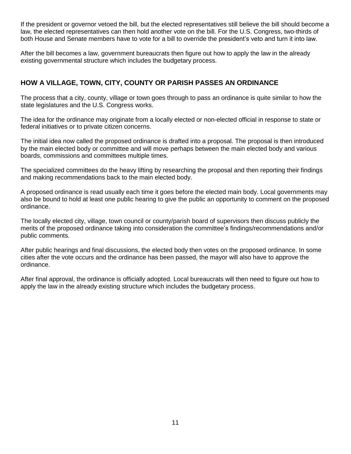If the president or governor vetoed the bill, but the elected representatives still believe the bill should become a law, the elected representatives can then hold another vote on the bill. For the U.S. Congress, two-thirds of both House and Senate members have to vote for a bill to override the president's veto and turn it into law.

After the bill becomes a law, government bureaucrats then figure out how to apply the law in the already existing governmental structure which includes the budgetary process.

# <span id="page-11-0"></span>**HOW A VILLAGE, TOWN, CITY, COUNTY OR PARISH PASSES AN ORDINANCE**

The process that a city, county, village or town goes through to pass an ordinance is quite similar to how the state legislatures and the U.S. Congress works.

The idea for the ordinance may originate from a locally elected or non-elected official in response to state or federal initiatives or to private citizen concerns.

The initial idea now called the proposed ordinance is drafted into a proposal. The proposal is then introduced by the main elected body or committee and will move perhaps between the main elected body and various boards, commissions and committees multiple times.

The specialized committees do the heavy lifting by researching the proposal and then reporting their findings and making recommendations back to the main elected body.

A proposed ordinance is read usually each time it goes before the elected main body. Local governments may also be bound to hold at least one public hearing to give the public an opportunity to comment on the proposed ordinance.

The locally elected city, village, town council or county/parish board of supervisors then discuss publicly the merits of the proposed ordinance taking into consideration the committee's findings/recommendations and/or public comments.

After public hearings and final discussions, the elected body then votes on the proposed ordinance. In some cities after the vote occurs and the ordinance has been passed, the mayor will also have to approve the ordinance.

After final approval, the ordinance is officially adopted. Local bureaucrats will then need to figure out how to apply the law in the already existing structure which includes the budgetary process.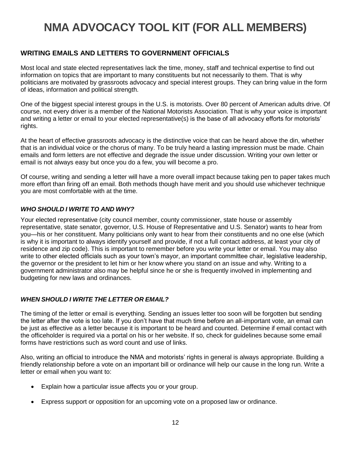# <span id="page-12-0"></span>**NMA ADVOCACY TOOL KIT (FOR ALL MEMBERS)**

# <span id="page-12-1"></span>**WRITING EMAILS AND LETTERS TO GOVERNMENT OFFICIALS**

Most local and state elected representatives lack the time, money, staff and technical expertise to find out information on topics that are important to many constituents but not necessarily to them. That is why politicians are motivated by grassroots advocacy and special interest groups. They can bring value in the form of ideas, information and political strength.

One of the biggest special interest groups in the U.S. is motorists. Over 80 percent of American adults drive. Of course, not every driver is a member of the National Motorists Association. That is why your voice is important and writing a letter or email to your elected representative(s) is the base of all advocacy efforts for motorists' rights.

At the heart of effective grassroots advocacy is the distinctive voice that can be heard above the din, whether that is an individual voice or the chorus of many. To be truly heard a lasting impression must be made. Chain emails and form letters are not effective and degrade the issue under discussion. Writing your own letter or email is not always easy but once you do a few, you will become a pro.

Of course, writing and sending a letter will have a more overall impact because taking pen to paper takes much more effort than firing off an email. Both methods though have merit and you should use whichever technique you are most comfortable with at the time.

## <span id="page-12-2"></span>*WHO SHOULD I WRITE TO AND WHY?*

Your elected representative (city council member, county commissioner, state house or assembly representative, state senator, governor, U.S. House of Representative and U.S. Senator) wants to hear from you—his or her constituent. Many politicians only want to hear from their constituents and no one else (which is why it is important to always identify yourself and provide, if not a full contact address, at least your city of residence and zip code). This is important to remember before you write your letter or email. You may also write to other elected officials such as your town's mayor, an important committee chair, legislative leadership, the governor or the president to let him or her know where you stand on an issue and why. Writing to a government administrator also may be helpful since he or she is frequently involved in implementing and budgeting for new laws and ordinances.

## <span id="page-12-3"></span>*WHEN SHOULD I WRITE THE LETTER OR EMAIL?*

The timing of the letter or email is everything. Sending an issues letter too soon will be forgotten but sending the letter after the vote is too late. If you don't have that much time before an all-important vote, an email can be just as effective as a letter because it is important to be heard and counted. Determine if email contact with the officeholder is required via a portal on his or her website. If so, check for guidelines because some email forms have restrictions such as word count and use of links.

Also, writing an official to introduce the NMA and motorists' rights in general is always appropriate. Building a friendly relationship before a vote on an important bill or ordinance will help our cause in the long run. Write a letter or email when you want to:

- Explain how a particular issue affects you or your group.
- Express support or opposition for an upcoming vote on a proposed law or ordinance.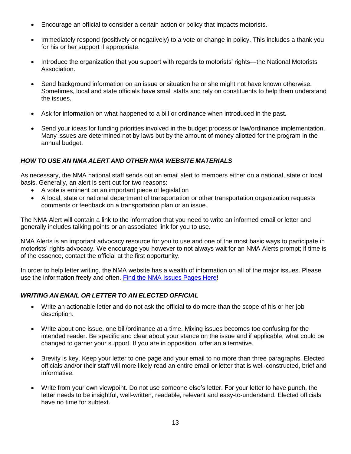- Encourage an official to consider a certain action or policy that impacts motorists.
- Immediately respond (positively or negatively) to a vote or change in policy. This includes a thank you for his or her support if appropriate.
- Introduce the organization that you support with regards to motorists' rights—the National Motorists Association.
- Send background information on an issue or situation he or she might not have known otherwise. Sometimes, local and state officials have small staffs and rely on constituents to help them understand the issues.
- Ask for information on what happened to a bill or ordinance when introduced in the past.
- Send your ideas for funding priorities involved in the budget process or law/ordinance implementation. Many issues are determined not by laws but by the amount of money allotted for the program in the annual budget.

## <span id="page-13-0"></span>*HOW TO USE AN NMA ALERT AND OTHER NMA WEBSITE MATERIALS*

As necessary, the NMA national staff sends out an email alert to members either on a national, state or local basis. Generally, an alert is sent out for two reasons:

- A vote is eminent on an important piece of legislation
- A local, state or national department of transportation or other transportation organization requests comments or feedback on a transportation plan or an issue.

The NMA Alert will contain a link to the information that you need to write an informed email or letter and generally includes talking points or an associated link for you to use.

NMA Alerts is an important advocacy resource for you to use and one of the most basic ways to participate in motorists' rights advocacy. We encourage you however to not always wait for an NMA Alerts prompt; if time is of the essence, contact the official at the first opportunity.

In order to help letter writing, the NMA website has a wealth of information on all of the major issues. Please use the information freely and often. [Find the NMA Issues Pages Here!](https://www.motorists.org/issues/)

#### <span id="page-13-1"></span>*WRITING AN EMAIL OR LETTER TO AN ELECTED OFFICIAL*

- Write an actionable letter and do not ask the official to do more than the scope of his or her job description.
- Write about one issue, one bill/ordinance at a time. Mixing issues becomes too confusing for the intended reader. Be specific and clear about your stance on the issue and if applicable, what could be changed to garner your support. If you are in opposition, offer an alternative.
- Brevity is key. Keep your letter to one page and your email to no more than three paragraphs. Elected officials and/or their staff will more likely read an entire email or letter that is well-constructed, brief and informative.
- Write from your own viewpoint. Do not use someone else's letter. For your letter to have punch, the letter needs to be insightful, well-written, readable, relevant and easy-to-understand. Elected officials have no time for subtext.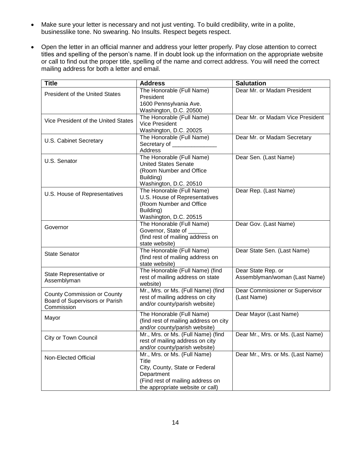- Make sure your letter is necessary and not just venting. To build credibility, write in a polite, businesslike tone. No swearing. No Insults. Respect begets respect.
- Open the letter in an official manner and address your letter properly. Pay close attention to correct titles and spelling of the person's name. If in doubt look up the information on the appropriate website or call to find out the proper title, spelling of the name and correct address. You will need the correct mailing address for both a letter and email.

| <b>Title</b>                                                                | <b>Address</b>                                                                                                                                                | <b>Salutation</b>                                   |
|-----------------------------------------------------------------------------|---------------------------------------------------------------------------------------------------------------------------------------------------------------|-----------------------------------------------------|
| <b>President of the United States</b>                                       | The Honorable (Full Name)<br>President<br>1600 Pennsylvania Ave.                                                                                              | Dear Mr. or Madam President                         |
| Vice President of the United States                                         | Washington, D.C. 20500<br>The Honorable (Full Name)<br><b>Vice President</b><br>Washington, D.C. 20025                                                        | Dear Mr. or Madam Vice President                    |
| U.S. Cabinet Secretary                                                      | The Honorable (Full Name)<br>Secretary of ______________<br>Address                                                                                           | Dear Mr. or Madam Secretary                         |
| U.S. Senator                                                                | The Honorable (Full Name)<br><b>United States Senate</b><br>(Room Number and Office<br>Building)<br>Washington, D.C. 20510                                    | Dear Sen. (Last Name)                               |
| U.S. House of Representatives                                               | The Honorable (Full Name)<br>U.S. House of Representatives<br>(Room Number and Office<br>Building)<br>Washington, D.C. 20515                                  | Dear Rep. (Last Name)                               |
| Governor                                                                    | The Honorable (Full Name)<br>Governor, State of ______<br>(find rest of mailing address on<br>state website)                                                  | Dear Gov. (Last Name)                               |
| <b>State Senator</b>                                                        | The Honorable (Full Name)<br>(find rest of mailing address on<br>state website)                                                                               | Dear State Sen. (Last Name)                         |
| State Representative or<br>Assemblyman                                      | The Honorable (Full Name) (find<br>rest of mailing address on state<br>website)                                                                               | Dear State Rep. or<br>Assemblyman/woman (Last Name) |
| County Commission or County<br>Board of Supervisors or Parish<br>Commission | Mr., Mrs. or Ms. (Full Name) (find<br>rest of mailing address on city<br>and/or county/parish website)                                                        | Dear Commissioner or Supervisor<br>(Last Name)      |
| Mayor                                                                       | The Honorable (Full Name)<br>(find rest of mailing address on city<br>and/or county/parish website)                                                           | Dear Mayor (Last Name)                              |
| City or Town Council                                                        | Mr., Mrs. or Ms. (Full Name) (find<br>rest of mailing address on city<br>and/or county/parish website)                                                        | Dear Mr., Mrs. or Ms. (Last Name)                   |
| Non-Elected Official                                                        | Mr., Mrs. or Ms. (Full Name)<br>Title<br>City, County, State or Federal<br>Department<br>(Find rest of mailing address on<br>the appropriate website or call) | Dear Mr., Mrs. or Ms. (Last Name)                   |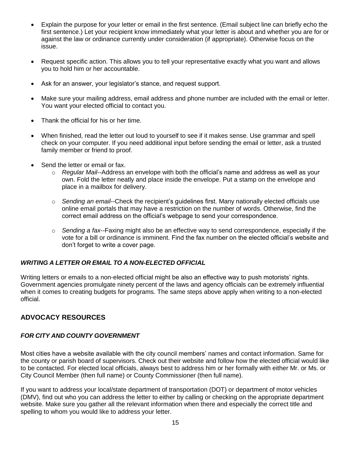- Explain the purpose for your letter or email in the first sentence. (Email subject line can briefly echo the first sentence.) Let your recipient know immediately what your letter is about and whether you are for or against the law or ordinance currently under consideration (if appropriate). Otherwise focus on the issue.
- Request specific action. This allows you to tell your representative exactly what you want and allows you to hold him or her accountable.
- Ask for an answer, your legislator's stance, and request support.
- Make sure your mailing address, email address and phone number are included with the email or letter. You want your elected official to contact you.
- Thank the official for his or her time.
- When finished, read the letter out loud to yourself to see if it makes sense. Use grammar and spell check on your computer. If you need additional input before sending the email or letter, ask a trusted family member or friend to proof.
- Send the letter or email or fax.
	- o *Regular Mail--*Address an envelope with both the official's name and address as well as your own. Fold the letter neatly and place inside the envelope. Put a stamp on the envelope and place in a mailbox for delivery.
	- o *Sending an email--*Check the recipient's guidelines first. Many nationally elected officials use online email portals that may have a restriction on the number of words. Otherwise, find the correct email address on the official's webpage to send your correspondence.
	- o *Sending a fax--*Faxing might also be an effective way to send correspondence, especially if the vote for a bill or ordinance is imminent. Find the fax number on the elected official's website and don't forget to write a cover page.

## <span id="page-15-0"></span>*WRITING A LETTER OR EMAIL TO A NON-ELECTED OFFICIAL*

Writing letters or emails to a non-elected official might be also an effective way to push motorists' rights. Government agencies promulgate ninety percent of the laws and agency officials can be extremely influential when it comes to creating budgets for programs. The same steps above apply when writing to a non-elected official.

# <span id="page-15-1"></span>**ADVOCACY RESOURCES**

## <span id="page-15-2"></span>*FOR CITY AND COUNTY GOVERNMENT*

Most cities have a website available with the city council members' names and contact information. Same for the county or parish board of supervisors. Check out their website and follow how the elected official would like to be contacted. For elected local officials, always best to address him or her formally with either Mr. or Ms. or City Council Member (then full name) or County Commissioner (then full name).

If you want to address your local/state department of transportation (DOT) or department of motor vehicles (DMV), find out who you can address the letter to either by calling or checking on the appropriate department website. Make sure you gather all the relevant information when there and especially the correct title and spelling to whom you would like to address your letter.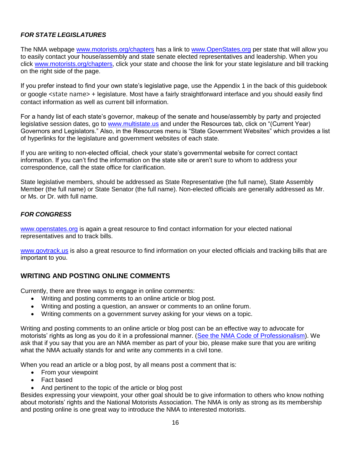## <span id="page-16-0"></span>*FOR STATE LEGISLATURES*

The NMA webpage [www.motorists.org/chapters](http://www.motorists.org/chapters) has a link to [www.OpenStates.org](http://www.openstates.org/) per state that will allow you to easily contact your house/assembly and state senate elected representatives and leadership. When you click [www.motorists.org/chapters,](http://www.motorists.org/chapters) click your state and choose the link for your state legislature and bill tracking on the right side of the page.

If you prefer instead to find your own state's legislative page, use the Appendix 1 in the back of this guidebook or google <state name> + legislature. Most have a fairly straightforward interface and you should easily find contact information as well as current bill information.

For a handy list of each state's governor, makeup of the senate and house/assembly by party and projected legislative session dates, go to [www.multistate.us](http://www.multistate.us/) and under the Resources tab, click on "(Current Year) Governors and Legislators." Also, in the Resources menu is "State Government Websites" which provides a list of hyperlinks for the legislature and government websites of each state.

If you are writing to non-elected official, check your state's governmental website for correct contact information. If you can't find the information on the state site or aren't sure to whom to address your correspondence, call the state office for clarification.

State legislative members, should be addressed as State Representative (the full name), State Assembly Member (the full name) or State Senator (the full name). Non-elected officials are generally addressed as Mr. or Ms. or Dr. with full name.

## <span id="page-16-1"></span>*FOR CONGRESS*

[www.openstates.org](http://www.openstates.org/) is again a great resource to find contact information for your elected national representatives and to track bills.

[www.govtrack.us](http://www.govtrack.us/) is also a great resource to find information on your elected officials and tracking bills that are important to you.

## <span id="page-16-2"></span>**WRITING AND POSTING ONLINE COMMENTS**

Currently, there are three ways to engage in online comments:

- Writing and posting comments to an online article or blog post.
- Writing and posting a question, an answer or comments to an online forum.
- Writing comments on a government survey asking for your views on a topic.

Writing and posting comments to an online article or blog post can be an effective way to advocate for motorists' rights as long as you do it in a professional manner. [\(See the NMA Code of Professionalism\)](file:///C:/Users/Comunications/Documents/NMA%20Code%20of%20Professionalism). We ask that if you say that you are an NMA member as part of your bio, please make sure that you are writing what the NMA actually stands for and write any comments in a civil tone.

When you read an article or a blog post, by all means post a comment that is:

- From your viewpoint
- Fact based
- And pertinent to the topic of the article or blog post

Besides expressing your viewpoint, your other goal should be to give information to others who know nothing about motorists' rights and the National Motorists Association. The NMA is only as strong as its membership and posting online is one great way to introduce the NMA to interested motorists.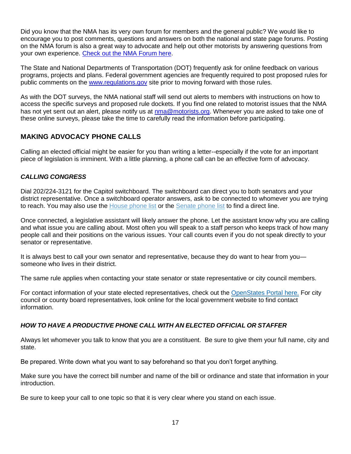Did you know that the NMA has its very own forum for members and the general public? We would like to encourage you to post comments, questions and answers on both the national and state page forums. Posting on the NMA forum is also a great way to advocate and help out other motorists by answering questions from your own experience. [Check out the NMA Forum here.](https://www.motorists.org/forums/)

The State and National Departments of Transportation (DOT) frequently ask for online feedback on various programs, projects and plans. Federal government agencies are frequently required to post proposed rules for public comments on the [www.regulations.gov](http://www.regulations.gov/) site prior to moving forward with those rules.

As with the DOT surveys, the NMA national staff will send out alerts to members with instructions on how to access the specific surveys and proposed rule dockets. If you find one related to motorist issues that the NMA has not yet sent out an alert, please notify us at [nma@motorists.org.](mailto:nma@motorists.org) Whenever you are asked to take one of these online surveys, please take the time to carefully read the information before participating.

# <span id="page-17-0"></span>**MAKING ADVOCACY PHONE CALLS**

Calling an elected official might be easier for you than writing a letter--especially if the vote for an important piece of legislation is imminent. With a little planning, a phone call can be an effective form of advocacy.

## <span id="page-17-1"></span>*CALLING CONGRESS*

Dial 202/224-3121 for the Capitol switchboard. The switchboard can direct you to both senators and your district representative. Once a switchboard operator answers, ask to be connected to whomever you are trying to reach. You may also use the [House phone list](http://clerk.house.gov/member_info/mcapdir.html) or the [Senate phone list](http://www.senate.gov/general/contact_information/senators_cfm.cfm) to find a direct line.

Once connected, a legislative assistant will likely answer the phone. Let the assistant know why you are calling and what issue you are calling about. Most often you will speak to a staff person who keeps track of how many people call and their positions on the various issues. Your call counts even if you do not speak directly to your senator or representative.

It is always best to call your own senator and representative, because they do want to hear from you someone who lives in their district.

The same rule applies when contacting your state senator or state representative or city council members.

For contact information of your state elected representatives, check out the [OpenStates Portal here.](http://openstates.org/) For city council or county board representatives, look online for the local government website to find contact information.

## <span id="page-17-2"></span>*HOW TO HAVE A PRODUCTIVE PHONE CALL WITH AN ELECTED OFFICIAL OR STAFFER*

Always let whomever you talk to know that you are a constituent. Be sure to give them your full name, city and state.

Be prepared. Write down what you want to say beforehand so that you don't forget anything.

Make sure you have the correct bill number and name of the bill or ordinance and state that information in your introduction.

Be sure to keep your call to one topic so that it is very clear where you stand on each issue.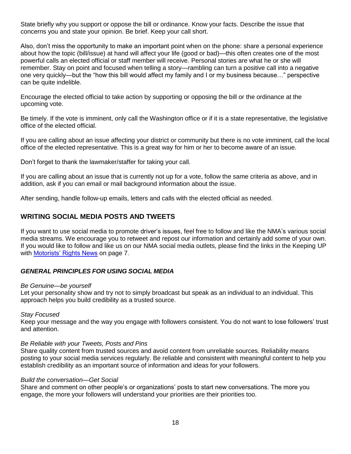State briefly why you support or oppose the bill or ordinance. Know your facts. Describe the issue that concerns you and state your opinion. Be brief. Keep your call short.

Also, don't miss the opportunity to make an important point when on the phone: share a personal experience about how the topic (bill/issue) at hand will affect your life (good or bad)—this often creates one of the most powerful calls an elected official or staff member will receive. Personal stories are what he or she will remember. Stay on point and focused when telling a story—rambling can turn a positive call into a negative one very quickly—but the "how this bill would affect my family and I or my business because…" perspective can be quite indelible.

Encourage the elected official to take action by supporting or opposing the bill or the ordinance at the upcoming vote.

Be timely. If the vote is imminent, only call the Washington office or if it is a state representative, the legislative office of the elected official.

If you are calling about an issue affecting your district or community but there is no vote imminent, call the local office of the elected representative. This is a great way for him or her to become aware of an issue.

Don't forget to thank the lawmaker/staffer for taking your call.

If you are calling about an issue that is currently not up for a vote, follow the same criteria as above, and in addition, ask if you can email or mail background information about the issue.

After sending, handle follow-up emails, letters and calls with the elected official as needed.

## <span id="page-18-0"></span>**WRITING SOCIAL MEDIA POSTS AND TWEETS**

If you want to use social media to promote driver's issues, feel free to follow and like the NMA's various social media streams. We encourage you to retweet and repost our information and certainly add some of your own. If you would like to follow and like us on our NMA social media outlets, please find the links in the Keeping UP with [Motorists' Rights News](file:///C:/Users/Comunications/Documents/Keeping%20Up%20With%20the%20News) on page 7.

#### <span id="page-18-1"></span>*GENERAL PRINCIPLES FOR USING SOCIAL MEDIA*

#### *Be Genuine—be yourself*

Let your personality show and try not to simply broadcast but speak as an individual to an individual. This approach helps you build credibility as a trusted source.

#### *Stay Focused*

Keep your message and the way you engage with followers consistent. You do not want to lose followers' trust and attention.

#### *Be Reliable with your Tweets, Posts and Pins*

Share quality content from trusted sources and avoid content from unreliable sources. Reliability means posting to your social media services regularly. Be reliable and consistent with meaningful content to help you establish credibility as an important source of information and ideas for your followers.

#### *Build the conversation—Get Social*

Share and comment on other people's or organizations' posts to start new conversations. The more you engage, the more your followers will understand your priorities are their priorities too.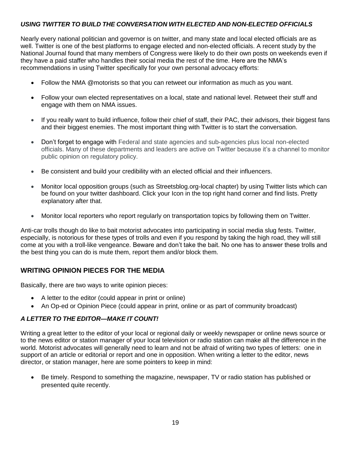## <span id="page-19-0"></span>*USING TWITTER TO BUILD THE CONVERSATION WITH ELECTED AND NON-ELECTED OFFICIALS*

Nearly every national politician and governor is on twitter, and many state and local elected officials are as well. Twitter is one of the best platforms to engage elected and non-elected officials. A recent study by the National Journal found that many members of Congress were likely to do their own posts on weekends even if they have a paid staffer who handles their social media the rest of the time. Here are the NMA's recommendations in using Twitter specifically for your own personal advocacy efforts:

- Follow the NMA @motorists so that you can retweet our information as much as you want.
- Follow your own elected representatives on a local, state and national level. Retweet their stuff and engage with them on NMA issues.
- If you really want to build influence, follow their chief of staff, their PAC, their advisors, their biggest fans and their biggest enemies. The most important thing with Twitter is to start the conversation.
- Don't forget to engage with Federal and state agencies and sub-agencies plus local non-elected officials. Many of these departments and leaders are active on Twitter because it's a channel to monitor public opinion on regulatory policy.
- Be consistent and build your credibility with an elected official and their influencers.
- Monitor local opposition groups (such as Streetsblog.org-local chapter) by using Twitter lists which can be found on your twitter dashboard. Click your Icon in the top right hand corner and find lists. Pretty explanatory after that.
- Monitor local reporters who report regularly on transportation topics by following them on Twitter.

Anti-car trolls though do like to bait motorist advocates into participating in social media slug fests. Twitter, especially, is notorious for these types of trolls and even if you respond by taking the high road, they will still come at you with a troll-like vengeance. Beware and don't take the bait. No one has to answer these trolls and the best thing you can do is mute them, report them and/or block them.

## <span id="page-19-1"></span>**WRITING OPINION PIECES FOR THE MEDIA**

Basically, there are two ways to write opinion pieces:

- A letter to the editor (could appear in print or online)
- An Op-ed or Opinion Piece (could appear in print, online or as part of community broadcast)

## <span id="page-19-2"></span>*A LETTER TO THE EDITOR—MAKE IT COUNT!*

Writing a great letter to the editor of your local or regional daily or weekly newspaper or online news source or to the news editor or station manager of your local television or radio station can make all the difference in the world. Motorist advocates will generally need to learn and not be afraid of writing two types of letters: one in support of an article or editorial or report and one in opposition. When writing a letter to the editor, news director, or station manager, here are some pointers to keep in mind:

 Be timely. Respond to something the magazine, newspaper, TV or radio station has published or presented quite recently.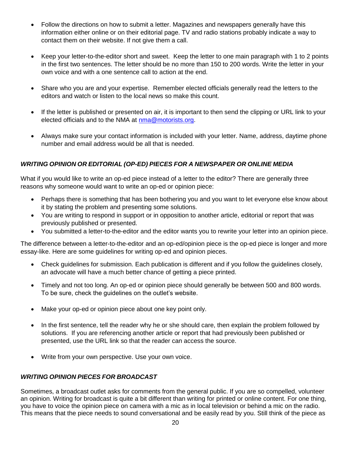- Follow the directions on how to submit a letter. Magazines and newspapers generally have this information either online or on their editorial page. TV and radio stations probably indicate a way to contact them on their website. If not give them a call.
- Keep your letter-to-the-editor short and sweet. Keep the letter to one main paragraph with 1 to 2 points in the first two sentences. The letter should be no more than 150 to 200 words. Write the letter in your own voice and with a one sentence call to action at the end.
- Share who you are and your expertise. Remember elected officials generally read the letters to the editors and watch or listen to the local news so make this count.
- If the letter is published or presented on air, it is important to then send the clipping or URL link to your elected officials and to the NMA at [nma@motorists.org.](mailto:nma@motorists.org)
- Always make sure your contact information is included with your letter. Name, address, daytime phone number and email address would be all that is needed.

# <span id="page-20-0"></span>*WRITING OPINION OR EDITORIAL (OP-ED) PIECES FOR A NEWSPAPER OR ONLINE MEDIA*

What if you would like to write an op-ed piece instead of a letter to the editor? There are generally three reasons why someone would want to write an op-ed or opinion piece:

- Perhaps there is something that has been bothering you and you want to let everyone else know about it by stating the problem and presenting some solutions.
- You are writing to respond in support or in opposition to another article, editorial or report that was previously published or presented.
- You submitted a letter-to-the-editor and the editor wants you to rewrite your letter into an opinion piece.

The difference between a letter-to-the-editor and an op-ed/opinion piece is the op-ed piece is longer and more essay-like. Here are some guidelines for writing op-ed and opinion pieces.

- Check guidelines for submission. Each publication is different and if you follow the guidelines closely, an advocate will have a much better chance of getting a piece printed.
- Timely and not too long. An op-ed or opinion piece should generally be between 500 and 800 words. To be sure, check the guidelines on the outlet's website.
- Make your op-ed or opinion piece about one key point only.
- In the first sentence, tell the reader why he or she should care, then explain the problem followed by solutions. If you are referencing another article or report that had previously been published or presented, use the URL link so that the reader can access the source.
- Write from your own perspective. Use your own voice.

## <span id="page-20-1"></span>*WRITING OPINION PIECES FOR BROADCAST*

Sometimes, a broadcast outlet asks for comments from the general public. If you are so compelled, volunteer an opinion. Writing for broadcast is quite a bit different than writing for printed or online content. For one thing, you have to voice the opinion piece on camera with a mic as in local television or behind a mic on the radio. This means that the piece needs to sound conversational and be easily read by you. Still think of the piece as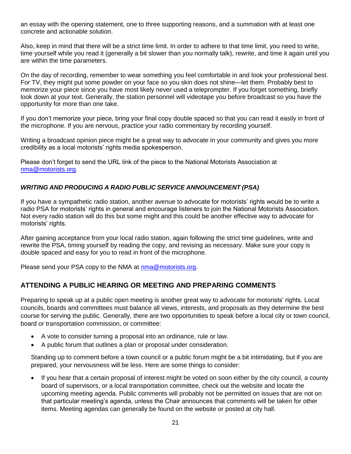an essay with the opening statement, one to three supporting reasons, and a summation with at least one concrete and actionable solution.

Also, keep in mind that there will be a strict time limit. In order to adhere to that time limit, you need to write, time yourself while you read it (generally a bit slower than you normally talk), rewrite, and time it again until you are within the time parameters.

On the day of recording, remember to wear something you feel comfortable in and look your professional best. For TV, they might put some powder on your face so you skin does not shine—let them. Probably best to memorize your piece since you have most likely never used a teleprompter. If you forget something, briefly look down at your text. Generally, the station personnel will videotape you before broadcast so you have the opportunity for more than one take.

If you don't memorize your piece, bring your final copy double spaced so that you can read it easily in front of the microphone. If you are nervous, practice your radio commentary by recording yourself.

Writing a broadcast opinion piece might be a great way to advocate in your community and gives you more credibility as a local motorists' rights media spokesperson.

Please don't forget to send the URL link of the piece to the National Motorists Association at [nma@motorists.org.](mailto:nma@motorists.org)

## <span id="page-21-0"></span>*WRITING AND PRODUCING A RADIO PUBLIC SERVICE ANNOUNCEMENT (PSA)*

If you have a sympathetic radio station, another avenue to advocate for motorists' rights would be to write a radio PSA for motorists' rights in general and encourage listeners to join the National Motorists Association. Not every radio station will do this but some might and this could be another effective way to advocate for motorists' rights.

After gaining acceptance from your local radio station, again following the strict time guidelines, write and rewrite the PSA, timing yourself by reading the copy, and revising as necessary. Make sure your copy is double spaced and easy for you to read in front of the microphone.

Please send your PSA copy to the NMA at [nma@motorists.org.](mailto:nma@motorists.org)

## <span id="page-21-1"></span>**ATTENDING A PUBLIC HEARING OR MEETING AND PREPARING COMMENTS**

Preparing to speak up at a public open meeting is another great way to advocate for motorists' rights. Local councils, boards and committees must balance all views, interests, and proposals as they determine the best course for serving the public. Generally, there are two opportunities to speak before a local city or town council, board or transportation commission, or committee:

- A vote to consider turning a proposal into an ordinance, rule or law.
- A public forum that outlines a plan or proposal under consideration.

Standing up to comment before a town council or a public forum might be a bit intimidating, but if you are prepared, your nervousness will be less. Here are some things to consider:

 If you hear that a certain proposal of interest might be voted on soon either by the city council, a county board of supervisors, or a local transportation committee, check out the website and locate the upcoming meeting agenda. Public comments will probably not be permitted on issues that are not on that particular meeting's agenda, unless the Chair announces that comments will be taken for other items. Meeting agendas can generally be found on the website or posted at city hall.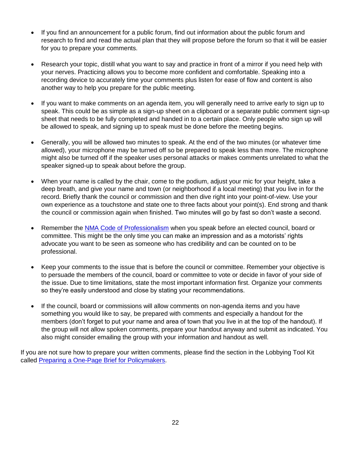- If you find an announcement for a public forum, find out information about the public forum and research to find and read the actual plan that they will propose before the forum so that it will be easier for you to prepare your comments.
- Research your topic, distill what you want to say and practice in front of a mirror if you need help with your nerves. Practicing allows you to become more confident and comfortable. Speaking into a recording device to accurately time your comments plus listen for ease of flow and content is also another way to help you prepare for the public meeting.
- If you want to make comments on an agenda item, you will generally need to arrive early to sign up to speak. This could be as simple as a sign-up sheet on a clipboard or a separate public comment sign-up sheet that needs to be fully completed and handed in to a certain place. Only people who sign up will be allowed to speak, and signing up to speak must be done before the meeting begins.
- Generally, you will be allowed two minutes to speak. At the end of the two minutes (or whatever time allowed), your microphone may be turned off so be prepared to speak less than more. The microphone might also be turned off if the speaker uses personal attacks or makes comments unrelated to what the speaker signed-up to speak about before the group.
- When your name is called by the chair, come to the podium, adjust your mic for your height, take a deep breath, and give your name and town (or neighborhood if a local meeting) that you live in for the record. Briefly thank the council or commission and then dive right into your point-of-view. Use your own experience as a touchstone and state one to three facts about your point(s). End strong and thank the council or commission again when finished. Two minutes will go by fast so don't waste a second.
- Remember the [NMA Code of Professionalism](file:///C:/Users/Comunications/Documents/NMA%20Code%20of%20Professionalism) when you speak before an elected council, board or committee. This might be the only time you can make an impression and as a motorists' rights advocate you want to be seen as someone who has credibility and can be counted on to be professional.
- Keep your comments to the issue that is before the council or committee. Remember your objective is to persuade the members of the council, board or committee to vote or decide in favor of your side of the issue. Due to time limitations, state the most important information first. Organize your comments so they're easily understood and close by stating your recommendations.
- <span id="page-22-0"></span> If the council, board or commissions will allow comments on non-agenda items and you have something you would like to say, be prepared with comments and especially a handout for the members (don't forget to put your name and area of town that you live in at the top of the handout). If the group will not allow spoken comments, prepare your handout anyway and submit as indicated. You also might consider emailing the group with your information and handout as well.

If you are not sure how to prepare your written comments, please find the section in the Lobbying Tool Kit called [Preparing a One-Page Brief](file:///C:/Users/Comunications/Documents/PREPARING%20A%20ONE-PAGE%20BRIEF) for Policymakers.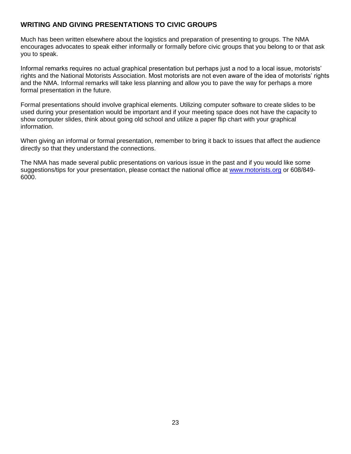# **WRITING AND GIVING PRESENTATIONS TO CIVIC GROUPS**

Much has been written elsewhere about the logistics and preparation of presenting to groups. The NMA encourages advocates to speak either informally or formally before civic groups that you belong to or that ask you to speak.

Informal remarks requires no actual graphical presentation but perhaps just a nod to a local issue, motorists' rights and the National Motorists Association. Most motorists are not even aware of the idea of motorists' rights and the NMA. Informal remarks will take less planning and allow you to pave the way for perhaps a more formal presentation in the future.

Formal presentations should involve graphical elements. Utilizing computer software to create slides to be used during your presentation would be important and if your meeting space does not have the capacity to show computer slides, think about going old school and utilize a paper flip chart with your graphical information.

When giving an informal or formal presentation, remember to bring it back to issues that affect the audience directly so that they understand the connections.

The NMA has made several public presentations on various issue in the past and if you would like some suggestions/tips for your presentation, please contact the national office at [www.motorists.org](http://www.motorists.org/) or 608/849-6000.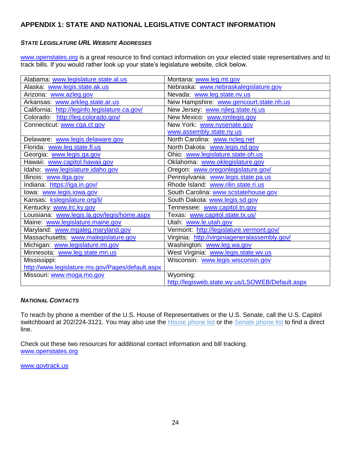# <span id="page-24-0"></span>**APPENDIX 1: STATE AND NATIONAL LEGISLATIVE CONTACT INFORMATION**

## <span id="page-24-1"></span>*STATE LEGISLATURE URL WEBSITE ADDRESSES*

[www.openstates.org](http://www.openstates.org/) is a great resource to find contact information on your elected state representatives and to track bills. If you would rather look up your state's legislature website, click below.

| Alabama: www.legislature.state.al.us             | Montana: www.leg.mt.gov                         |
|--------------------------------------------------|-------------------------------------------------|
| Alaska: www.legis.state.ak.us                    | Nebraska: www.nebraskalegislature.gov           |
| Arizona: www.azleg.gov                           | Nevada: www.leg.state.nv.us                     |
| Arkansas: www.arkleg.state.ar.us                 | New Hampshire: www.gencourt.state.nh.us         |
| California: http://leginfo.legislature.ca.gov/   | New Jersey: www.njleg.state.nj.us               |
| Colorado: http://leg.colorado.gov/               | New Mexico: www.nmlegis.gov                     |
| Connecticut: www.cga.ct.gov                      | New York: www.nysenate.gov                      |
|                                                  | www.assembly.state.ny.us                        |
| Delaware: www.legis.delaware.gov                 | North Carolina: www.ncleg.net                   |
| Florida: www.leg.state.fl.us                     | North Dakota: www.legis.nd.gov                  |
| Georgia: www.legis.ga.gov                        | Ohio: www.legislature.state.oh.us               |
| Hawaii: www.capitol.hawaii.gov                   | Oklahoma: www.oklegislature.gov                 |
| Idaho: www.legislature.idaho.gov                 | Oregon: www.oregonlegislature.gov/              |
| Illinois: www.ilga.gov                           | Pennsylvania: www.legis.state.pa.us             |
| Indiana: https://iga.in.gov/                     | Rhode Island: www.rilin.state.ri.us             |
| lowa: www.legis.iowa.gov                         | South Carolina: www.scstatehouse.gov            |
| Kansas: kslegislature.org/li/                    | South Dakota: www.legis.sd.gov                  |
| Kentucky: www.lrc.ky.gov                         | Tennessee: www.capitol.tn.gov                   |
| Louisiana: www.legis.la.gov/legis/home.aspx      | Texas: www.capitol.state.tx.us/                 |
| Maine: www.legislature.maine.gov                 | Utah www.le.utah.gov                            |
| Maryland: www.mgaleg.maryland.gov                | Vermont: http://legislature.vermont.gov/        |
| Massachusetts: www.malegislature.gov             | Virginia: http://virginiageneralassembly.gov/   |
| Michigan: www.legislature.mi.gov                 | Washington: www.leg.wa.gov                      |
| Minnesota: www.leg.state.mn.us                   | West Virginia: www.legis.state.wv.us            |
| Mississippi:                                     | Wisconsin: www.legis.wisconsin.gov              |
| http://www.legislature.ms.gov/Pages/default.aspx |                                                 |
| Missouri: www.moga.mo.gov                        | Wyoming:                                        |
|                                                  | http://legisweb.state.wy.us/LSOWEB/Default.aspx |

#### <span id="page-24-2"></span>*NATIONAL CONTACTS*

To reach by phone a member of the U.S. House of Representatives or the U.S. Senate, call the U.S. Capitol switchboard at 202/224-3121. You may also use the [House phone list](http://clerk.house.gov/member_info/mcapdir.html) or the [Senate phone list](http://www.senate.gov/general/contact_information/senators_cfm.cfm) to find a direct line.

Check out these two resources for additional contact information and bill tracking. [www.openstates.org](http://www.openstates.org/)

[www.govtrack.us](http://www.govtrack.us/)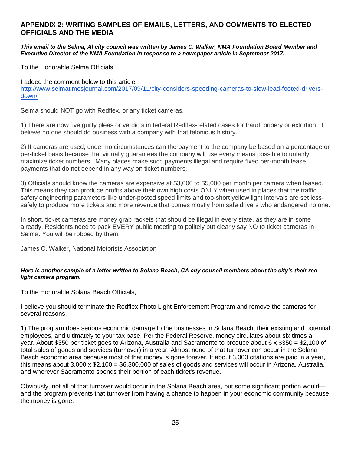## <span id="page-25-0"></span>**APPENDIX 2: WRITING SAMPLES OF EMAILS, LETTERS, AND COMMENTS TO ELECTED OFFICIALS AND THE MEDIA**

*This email to the Selma, Al city council was written by James C. Walker, NMA Foundation Board Member and Executive Director of the NMA Foundation in response to a newspaper article in September 2017.*

To the Honorable Selma Officials

I added the comment below to this article.

[http://www.selmatimesjournal.com/2017/09/11/city-considers-speeding-cameras-to-slow-lead-footed-drivers](http://www.selmatimesjournal.com/2017/09/11/city-considers-speeding-cameras-to-slow-lead-footed-drivers-down/)[down/](http://www.selmatimesjournal.com/2017/09/11/city-considers-speeding-cameras-to-slow-lead-footed-drivers-down/)

Selma should NOT go with Redflex, or any ticket cameras.

1) There are now five guilty pleas or verdicts in federal Redflex-related cases for fraud, bribery or extortion. I believe no one should do business with a company with that felonious history.

2) If cameras are used, under no circumstances can the payment to the company be based on a percentage or per-ticket basis because that virtually guarantees the company will use every means possible to unfairly maximize ticket numbers. Many places make such payments illegal and require fixed per-month lease payments that do not depend in any way on ticket numbers.

3) Officials should know the cameras are expensive at \$3,000 to \$5,000 per month per camera when leased. This means they can produce profits above their own high costs ONLY when used in places that the traffic safety engineering parameters like under-posted speed limits and too-short yellow light intervals are set lesssafely to produce more tickets and more revenue that comes mostly from safe drivers who endangered no one.

In short, ticket cameras are money grab rackets that should be illegal in every state, as they are in some already. Residents need to pack EVERY public meeting to politely but clearly say NO to ticket cameras in Selma. You will be robbed by them.

James C. Walker, National Motorists Association

#### *Here is another sample of a letter written to Solana Beach, CA city council members about the city's their redlight camera program.*

To the Honorable Solana Beach Officials,

I believe you should terminate the Redflex Photo Light Enforcement Program and remove the cameras for several reasons.

1) The program does serious economic damage to the businesses in Solana Beach, their existing and potential employees, and ultimately to your tax base. Per the Federal Reserve, money circulates about six times a year. About \$350 per ticket goes to Arizona, Australia and Sacramento to produce about 6 x \$350 = \$2,100 of total sales of goods and services (turnover) in a year. Almost none of that turnover can occur in the Solana Beach economic area because most of that money is gone forever. If about 3,000 citations are paid in a year, this means about 3,000 x \$2,100 = \$6,300,000 of sales of goods and services will occur in Arizona, Australia, and wherever Sacramento spends their portion of each ticket's revenue.

Obviously, not all of that turnover would occur in the Solana Beach area, but some significant portion would and the program prevents that turnover from having a chance to happen in your economic community because the money is gone.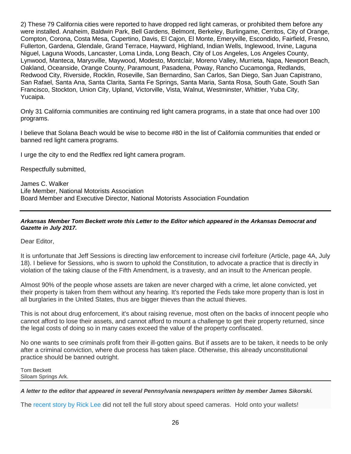2) These 79 California cities were reported to have dropped red light cameras, or prohibited them before any were installed. Anaheim, Baldwin Park, Bell Gardens, Belmont, Berkeley, Burlingame, Cerritos, City of Orange, Compton, Corona, Costa Mesa, Cupertino, Davis, El Cajon, El Monte, Emeryville, Escondido, Fairfield, Fresno, Fullerton, Gardena, Glendale, Grand Terrace, Hayward, Highland, Indian Wells, Inglewood, Irvine, Laguna Niguel, Laguna Woods, Lancaster, Loma Linda, Long Beach, City of Los Angeles, Los Angeles County, Lynwood, Manteca, Marysville, Maywood, Modesto, Montclair, Moreno Valley, Murrieta, Napa, Newport Beach, Oakland, Oceanside, Orange County, Paramount, Pasadena, Poway, Rancho Cucamonga, Redlands, Redwood City, Riverside, Rocklin, Roseville, San Bernardino, San Carlos, San Diego, San Juan Capistrano, San Rafael, Santa Ana, Santa Clarita, Santa Fe Springs, Santa Maria, Santa Rosa, South Gate, South San Francisco, Stockton, Union City, Upland, Victorville, Vista, Walnut, Westminster, Whittier, Yuba City, Yucaipa.

Only 31 California communities are continuing red light camera programs, in a state that once had over 100 programs.

I believe that Solana Beach would be wise to become #80 in the list of California communities that ended or banned red light camera programs.

I urge the city to end the Redflex red light camera program.

Respectfully submitted,

James C. Walker Life Member, National Motorists Association Board Member and Executive Director, National Motorists Association Foundation

#### *Arkansas Member Tom Beckett wrote this Letter to the Editor which appeared in the Arkansas Democrat and Gazette in July 2017.*

Dear Editor,

It is unfortunate that Jeff Sessions is directing law enforcement to increase civil forfeiture (Article, page 4A, July 18). I believe for Sessions, who is sworn to uphold the Constitution, to advocate a practice that is directly in violation of the taking clause of the Fifth Amendment, is a travesty, and an insult to the American people.

Almost 90% of the people whose assets are taken are never charged with a crime, let alone convicted, yet their property is taken from them without any hearing. It's reported the Feds take more property than is lost in all burglaries in the United States, thus are bigger thieves than the actual thieves.

This is not about drug enforcement, it's about raising revenue, most often on the backs of innocent people who cannot afford to lose their assets, and cannot afford to mount a challenge to get their property returned, since the legal costs of doing so in many cases exceed the value of the property confiscated.

No one wants to see criminals profit from their ill-gotten gains. But if assets are to be taken, it needs to be only after a criminal conviction, where due process has taken place. Otherwise, this already unconstitutional practice should be banned outright.

Tom Beckett Siloam Springs Ark.

#### *A letter to the editor that appeared in several Pennsylvania newspapers written by member James Sikorski.*

The [recent story by Rick Lee](http://www.ydr.com/story/news/2017/08/31/automatic-speed-enforcement-cameras-proposed-penndot-highway-work-zones/621594001/) did not tell the full story about speed cameras. Hold onto your wallets!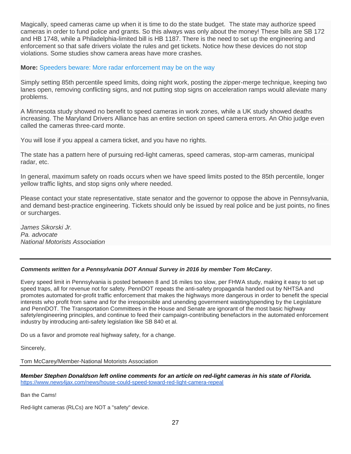Magically, speed cameras came up when it is time to do the state budget. The state may authorize speed cameras in order to fund police and grants. So this always was only about the money! These bills are SB 172 and HB 1748, while a Philadelphia-limited bill is HB 1187. There is the need to set up the engineering and enforcement so that safe drivers violate the rules and get tickets. Notice how these devices do not stop violations. Some studies show camera areas have more crashes.

#### **More:** [Speeders beware: More radar enforcement may be on the way](http://www.ydr.com/story/news/2017/04/13/speeders-beware-more-radar-enforcement-may-way/100417566/)

Simply setting 85th percentile speed limits, doing night work, posting the zipper-merge technique, keeping two lanes open, removing conflicting signs, and not putting stop signs on acceleration ramps would alleviate many problems.

A Minnesota study showed no benefit to speed cameras in work zones, while a UK study showed deaths increasing. The Maryland Drivers Alliance has an entire section on speed camera errors. An Ohio judge even called the cameras three-card monte.

You will lose if you appeal a camera ticket, and you have no rights.

The state has a pattern here of pursuing red-light cameras, speed cameras, stop-arm cameras, municipal radar, etc.

In general, maximum safety on roads occurs when we have speed limits posted to the 85th percentile, longer yellow traffic lights, and stop signs only where needed.

Please contact your state representative, state senator and the governor to oppose the above in Pennsylvania, and demand best-practice engineering. Tickets should only be issued by real police and be just points, no fines or surcharges.

*James Sikorski Jr. Pa. advocate National Motorists Association*

#### *Comments written for a Pennsylvania DOT Annual Survey in 2016 by member Tom McCarey.*

Every speed limit in Pennsylvania is posted between 8 and 16 miles too slow, per FHWA study, making it easy to set up speed traps, all for revenue not for safety. PennDOT repeats the anti-safety propaganda handed out by NHTSA and promotes automated for-profit traffic enforcement that makes the highways more dangerous in order to benefit the special interests who profit from same and for the irresponsible and unending government wasting/spending by the Legislature and PennDOT. The Transportation Committees in the House and Senate are ignorant of the most basic highway safety/engineering principles, and continue to feed their campaign-contributing benefactors in the automated enforcement industry by introducing anti-safety legislation like SB 840 et al.

Do us a favor and promote real highway safety, for a change.

Sincerely,

Tom McCarey/Member-National Motorists Association

*Member Stephen Donaldson left online comments for an article on red-light cameras in his state of Florida.*  <https://www.news4jax.com/news/house-could-speed-toward-red-light-camera-repeal>

Ban the Cams!

Red-light cameras (RLCs) are NOT a "safety" device.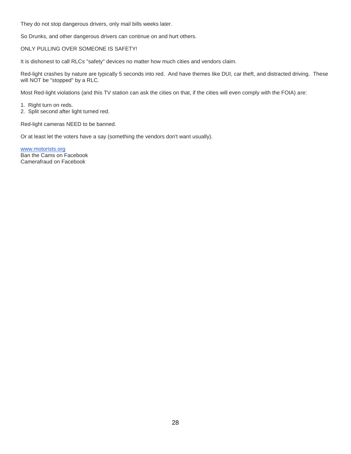They do not stop dangerous drivers, only mail bills weeks later.

So Drunks, and other dangerous drivers can continue on and hurt others.

#### ONLY PULLING OVER SOMEONE IS SAFETY!

It is dishonest to call RLCs "safety" devices no matter how much cities and vendors claim.

Red-light crashes by nature are typically 5 seconds into red. And have themes like DUI, car theft, and distracted driving. These will NOT be "stopped" by a RLC.

Most Red-light violations (and this TV station can ask the cities on that, if the cities will even comply with the FOIA) are:

1. Right turn on reds. 2. Split second after light turned red.

Red-light cameras NEED to be banned.

Or at least let the voters have a say (something the vendors don't want usually).

<span id="page-28-0"></span>[www.motorists.org](http://www.motorists.org/) Ban the Cams on Facebook Camerafraud on Facebook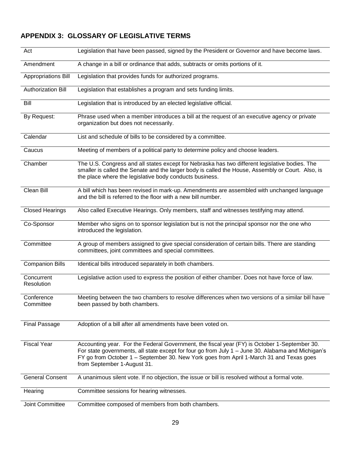# **APPENDIX 3: GLOSSARY OF LEGISLATIVE TERMS**

| Act                        | Legislation that have been passed, signed by the President or Governor and have become laws.                                                                                                                                                                                                                                |
|----------------------------|-----------------------------------------------------------------------------------------------------------------------------------------------------------------------------------------------------------------------------------------------------------------------------------------------------------------------------|
| Amendment                  | A change in a bill or ordinance that adds, subtracts or omits portions of it.                                                                                                                                                                                                                                               |
| <b>Appropriations Bill</b> | Legislation that provides funds for authorized programs.                                                                                                                                                                                                                                                                    |
| Authorization Bill         | Legislation that establishes a program and sets funding limits.                                                                                                                                                                                                                                                             |
| Bill                       | Legislation that is introduced by an elected legislative official.                                                                                                                                                                                                                                                          |
| By Request:                | Phrase used when a member introduces a bill at the request of an executive agency or private<br>organization but does not necessarily.                                                                                                                                                                                      |
| Calendar                   | List and schedule of bills to be considered by a committee.                                                                                                                                                                                                                                                                 |
| Caucus                     | Meeting of members of a political party to determine policy and choose leaders.                                                                                                                                                                                                                                             |
| Chamber                    | The U.S. Congress and all states except for Nebraska has two different legislative bodies. The<br>smaller is called the Senate and the larger body is called the House, Assembly or Court. Also, is<br>the place where the legislative body conducts business.                                                              |
| Clean Bill                 | A bill which has been revised in mark-up. Amendments are assembled with unchanged language<br>and the bill is referred to the floor with a new bill number.                                                                                                                                                                 |
| <b>Closed Hearings</b>     | Also called Executive Hearings. Only members, staff and witnesses testifying may attend.                                                                                                                                                                                                                                    |
| Co-Sponsor                 | Member who signs on to sponsor legislation but is not the principal sponsor nor the one who<br>introduced the legislation.                                                                                                                                                                                                  |
| Committee                  | A group of members assigned to give special consideration of certain bills. There are standing<br>committees, joint committees and special committees.                                                                                                                                                                      |
| <b>Companion Bills</b>     | Identical bills introduced separately in both chambers.                                                                                                                                                                                                                                                                     |
| Concurrent<br>Resolution   | Legislative action used to express the position of either chamber. Does not have force of law.                                                                                                                                                                                                                              |
| Conference<br>Committee    | Meeting between the two chambers to resolve differences when two versions of a similar bill have<br>been passed by both chambers.                                                                                                                                                                                           |
| <b>Final Passage</b>       | Adoption of a bill after all amendments have been voted on.                                                                                                                                                                                                                                                                 |
| <b>Fiscal Year</b>         | Accounting year. For the Federal Government, the fiscal year (FY) is October 1-September 30.<br>For state governments, all state except for four go from July 1 - June 30. Alabama and Michigan's<br>FY go from October 1 - September 30. New York goes from April 1-March 31 and Texas goes<br>from September 1-August 31. |
| <b>General Consent</b>     | A unanimous silent vote. If no objection, the issue or bill is resolved without a formal vote.                                                                                                                                                                                                                              |
| Hearing                    | Committee sessions for hearing witnesses.                                                                                                                                                                                                                                                                                   |
| Joint Committee            | Committee composed of members from both chambers.                                                                                                                                                                                                                                                                           |